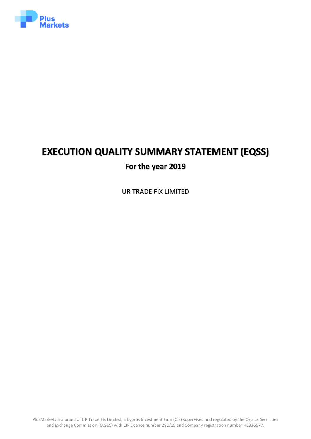

# **EXECUTION QUALITY SUMMARY STATEMENT (EQSS) For the year 2019**

UR TRADE FIX LIMITED

PlusMarkets is a brand of UR Trade Fix Limited, a Cyprus Investment Firm (CIF) supervised and regulated by the Cyprus Securities and Exchange Commission (CySEC) with CIF Licence number 282/15 and Company registration number HE336677.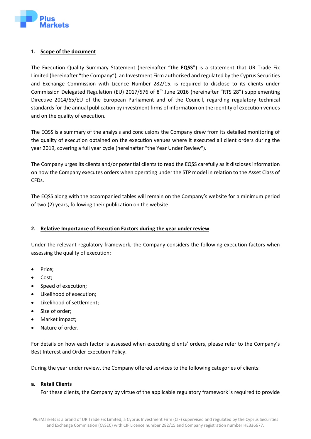

## **1. Scope of the document**

The Execution Quality Summary Statement (hereinafter "**the EQSS**") is a statement that UR Trade Fix Limited (hereinafter "the Company"), an Investment Firm authorised and regulated by the Cyprus Securities and Exchange Commission with Licence Number 282/15, is required to disclose to its clients under Commission Delegated Regulation (EU) 2017/576 of 8<sup>th</sup> June 2016 (hereinafter "RTS 28") supplementing Directive 2014/65/EU of the European Parliament and of the Council, regarding regulatory technical standards for the annual publication by investment firms of information on the identity of execution venues and on the quality of execution.

The EQSS is a summary of the analysis and conclusions the Company drew from its detailed monitoring of the quality of execution obtained on the execution venues where it executed all client orders during the year 2019, covering a full year cycle (hereinafter "the Year Under Review").

The Company urges its clients and/or potential clients to read the EQSS carefully as it discloses information on how the Company executes orders when operating under the STP model in relation to the Asset Class of CFDs.

The EQSS along with the accompanied tables will remain on the Company's website for a minimum period of two (2) years, following their publication on the website.

#### **2. Relative Importance of Execution Factors during the year under review**

Under the relevant regulatory framework, the Company considers the following execution factors when assessing the quality of execution:

- Price;
- Cost;
- Speed of execution;
- Likelihood of execution;
- Likelihood of settlement;
- Size of order;
- Market impact;
- Nature of order.

For details on how each factor is assessed when executing clients' orders, please refer to the Company's Best Interest and Order Execution Policy.

During the year under review, the Company offered services to the following categories of clients:

#### **a. Retail Clients**

For these clients, the Company by virtue of the applicable regulatory framework is required to provide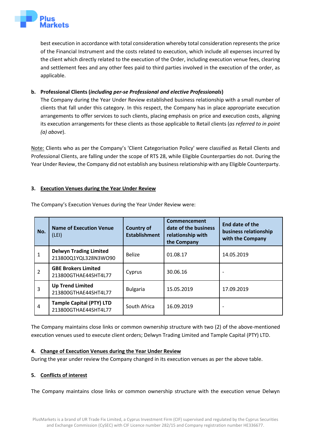

best execution in accordance with total consideration whereby total consideration represents the price of the Financial Instrument and the costs related to execution, which include all expenses incurred by the client which directly related to the execution of the Order, including execution venue fees, clearing and settlement fees and any other fees paid to third parties involved in the execution of the order, as applicable.

# **b. Professional Clients (***including per-se Professional and elective Professionals***)**

The Company during the Year Under Review established business relationship with a small number of clients that fall under this category. In this respect, the Company has in place appropriate execution arrangements to offer services to such clients, placing emphasis on price and execution costs, aligning its execution arrangements for these clients as those applicable to Retail clients (*as referred to in point (a) above*).

Note: Clients who as per the Company's 'Client Categorisation Policy' were classified as Retail Clients and Professional Clients, are falling under the scope of RTS 28, while Eligible Counterparties do not. During the Year Under Review, the Company did not establish any business relationship with any Eligible Counterparty.

## **3. Execution Venues during the Year Under Review**

| No. | <b>Name of Execution Venue</b><br>(LEI)                 | <b>Country of</b><br><b>Establishment</b> | Commencement<br>date of the business<br>relationship with<br>the Company | End date of the<br>business relationship<br>with the Company |
|-----|---------------------------------------------------------|-------------------------------------------|--------------------------------------------------------------------------|--------------------------------------------------------------|
| 1   | <b>Delwyn Trading Limited</b><br>213800Q1YQL328N3WO90   | <b>Belize</b>                             | 01.08.17                                                                 | 14.05.2019                                                   |
| 2   | <b>GBE Brokers Limited</b><br>213800GTHAE44SHT4L77      | Cyprus                                    | 30.06.16                                                                 |                                                              |
| 3   | <b>Up Trend Limited</b><br>213800GTHAE44SHT4L77         | <b>Bulgaria</b>                           | 15.05.2019                                                               | 17.09.2019                                                   |
| 4   | <b>Tample Capital (PTY) LTD</b><br>213800GTHAE44SHT4L77 | South Africa                              | 16.09.2019                                                               | $\overline{\phantom{a}}$                                     |

The Company's Execution Venues during the Year Under Review were:

The Company maintains close links or common ownership structure with two (2) of the above-mentioned execution venues used to execute client orders; Delwyn Trading Limited and Tample Capital (PTY) LTD.

#### **4. Change of Execution Venues during the Year Under Review**

During the year under review the Company changed in its execution venues as per the above table.

# **5. Conflicts of interest**

The Company maintains close links or common ownership structure with the execution venue Delwyn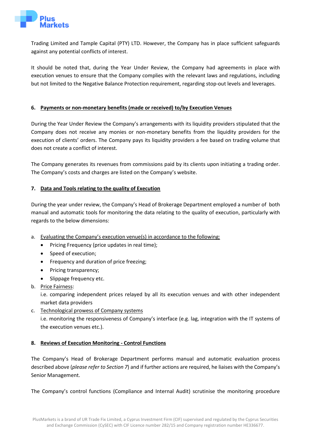

Trading Limited and Tample Capital (PTY) LTD. However, the Company has in place sufficient safeguards against any potential conflicts of interest.

It should be noted that, during the Year Under Review, the Company had agreements in place with execution venues to ensure that the Company complies with the relevant laws and regulations, including but not limited to the Negative Balance Protection requirement, regarding stop-out levels and leverages.

## **6. Payments or non-monetary benefits (made or received) to/by Execution Venues**

During the Year Under Review the Company's arrangements with its liquidity providers stipulated that the Company does not receive any monies or non-monetary benefits from the liquidity providers for the execution of clients' orders. The Company pays its liquidity providers a fee based on trading volume that does not create a conflict of interest.

The Company generates its revenues from commissions paid by its clients upon initiating a trading order. The Company's costs and charges are listed on the Company's website.

## **7. Data and Tools relating to the quality of Execution**

During the year under review, the Company's Head of Brokerage Department employed a number of both manual and automatic tools for monitoring the data relating to the quality of execution, particularly with regards to the below dimensions:

- a. Evaluating the Company's execution venue(s) in accordance to the following:
	- Pricing Frequency (price updates in real time);
	- Speed of execution;
	- Frequency and duration of price freezing;
	- Pricing transparency;
	- Slippage frequency etc.
- b. Price Fairness:

i.e. comparing independent prices relayed by all its execution venues and with other independent market data providers

c. Technological prowess of Company systems

i.e. monitoring the responsiveness of Company's interface (e.g. lag, integration with the IT systems of the execution venues etc.).

#### **8. Reviews of Execution Monitoring - Control Functions**

The Company's Head of Brokerage Department performs manual and automatic evaluation process described above (*please refer to Section 7*) and if further actions are required, he liaises with the Company's Senior Management.

The Company's control functions (Compliance and Internal Audit) scrutinise the monitoring procedure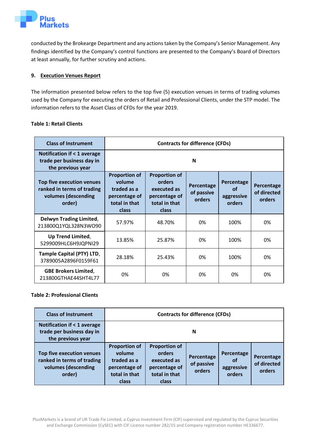œts

conducted by the Brokearge Department and any actions taken by the Company's Senior Management. Any findings identified by the Company's control functions are presented to the Company's Board of Directors at least annually, for further scrutiny and actions.

# **9. Execution Venues Report**

The information presented below refers to the top five (5) execution venues in terms of trading volumes used by the Company for executing the orders of Retail and Professional Clients, under the STP model. The information refers to the Asset Class of CFDs for the year 2019.

## **Table 1: Retail Clients**

| <b>Class of Instrument</b>                                                               | <b>Contracts for difference (CFDs)</b>                                                   |                                                                                          |                                    |                                          |                                     |  |
|------------------------------------------------------------------------------------------|------------------------------------------------------------------------------------------|------------------------------------------------------------------------------------------|------------------------------------|------------------------------------------|-------------------------------------|--|
| <b>Notification if &lt; 1 average</b><br>trade per business day in<br>the previous year  | N                                                                                        |                                                                                          |                                    |                                          |                                     |  |
| Top five execution venues<br>ranked in terms of trading<br>volumes (descending<br>order) | <b>Proportion of</b><br>volume<br>traded as a<br>percentage of<br>total in that<br>class | <b>Proportion of</b><br>orders<br>executed as<br>percentage of<br>total in that<br>class | Percentage<br>of passive<br>orders | Percentage<br>of<br>aggressive<br>orders | Percentage<br>of directed<br>orders |  |
| <b>Delwyn Trading Limited,</b><br>213800Q1YQL328N3WO90                                   | 57.97%                                                                                   | 48.70%                                                                                   | 0%                                 | 100%                                     | 0%                                  |  |
| Up Trend Limited,<br>5299009HLC6H9JQPNI29                                                | 13.85%                                                                                   | 25.87%                                                                                   | 0%                                 | 100%                                     | 0%                                  |  |
| Tample Capital (PTY) LTD,<br>3789005A2896F0159F61                                        | 28.18%                                                                                   | 25.43%                                                                                   | 0%                                 | 100%                                     | 0%                                  |  |
| <b>GBE Brokers Limited,</b><br>213800GTHAE44SHT4L77                                      | 0%                                                                                       | 0%                                                                                       | 0%                                 | 0%                                       | 0%                                  |  |

# **Table 2: Professional Clients**

| <b>Class of Instrument</b>                                                               | <b>Contracts for difference (CFDs)</b>                                                   |                                                                                          |                                    |                                          |                                     |
|------------------------------------------------------------------------------------------|------------------------------------------------------------------------------------------|------------------------------------------------------------------------------------------|------------------------------------|------------------------------------------|-------------------------------------|
| <b>Notification if &lt; 1 average</b><br>trade per business day in<br>the previous year  | N                                                                                        |                                                                                          |                                    |                                          |                                     |
| Top five execution venues<br>ranked in terms of trading<br>volumes (descending<br>order) | <b>Proportion of</b><br>volume<br>traded as a<br>percentage of<br>total in that<br>class | <b>Proportion of</b><br>orders<br>executed as<br>percentage of<br>total in that<br>class | Percentage<br>of passive<br>orders | Percentage<br>of<br>aggressive<br>orders | Percentage<br>of directed<br>orders |